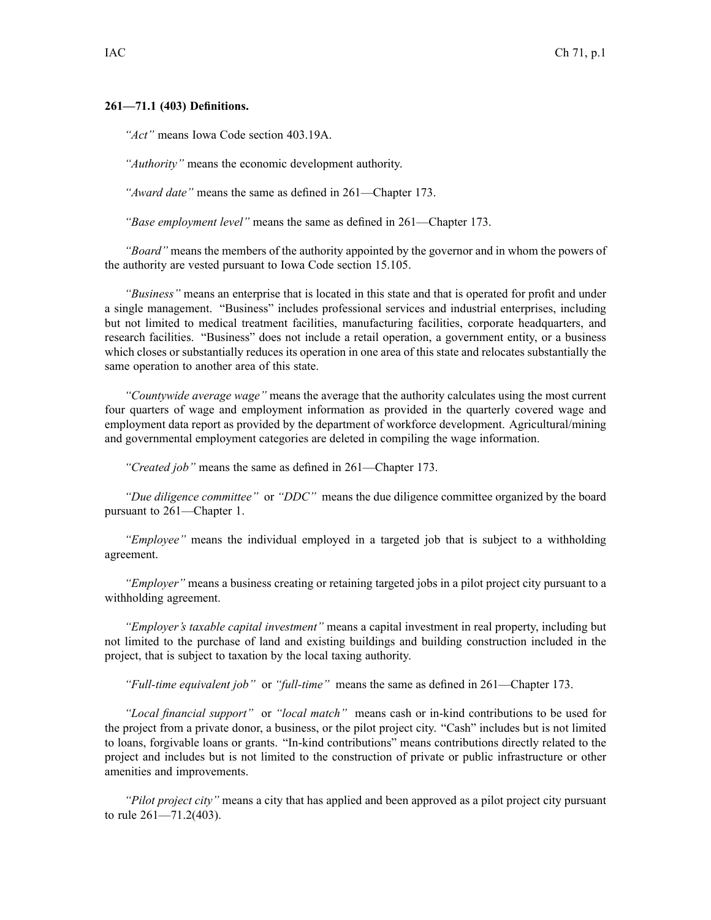## **261—71.1 (403) Definitions.**

*"Act"* means Iowa Code section 403.19A.

*"Authority"* means the economic development authority.

*"Award date"* means the same as defined in 261—Chapter 173.

*"Base employment level"* means the same as defined in 261—Chapter 173.

*"Board"* means the members of the authority appointed by the governor and in whom the powers of the authority are vested pursuan<sup>t</sup> to Iowa Code section 15.105.

*"Business"* means an enterprise that is located in this state and that is operated for profit and under <sup>a</sup> single management. "Business" includes professional services and industrial enterprises, including but not limited to medical treatment facilities, manufacturing facilities, corporate headquarters, and research facilities. "Business" does not include <sup>a</sup> retail operation, <sup>a</sup> governmen<sup>t</sup> entity, or <sup>a</sup> business which closes or substantially reduces its operation in one area of this state and relocates substantially the same operation to another area of this state.

*"Countywide average wage"* means the average that the authority calculates using the most current four quarters of wage and employment information as provided in the quarterly covered wage and employment data repor<sup>t</sup> as provided by the department of workforce development. Agricultural/mining and governmental employment categories are deleted in compiling the wage information.

*"Created job"* means the same as defined in 261—Chapter 173.

*"Due diligence committee"* or *"DDC"* means the due diligence committee organized by the board pursuan<sup>t</sup> to 261—Chapter 1.

*"Employee"* means the individual employed in <sup>a</sup> targeted job that is subject to <sup>a</sup> withholding agreement.

*"Employer"* means <sup>a</sup> business creating or retaining targeted jobs in <sup>a</sup> pilot project city pursuan<sup>t</sup> to <sup>a</sup> withholding agreement.

*"Employer's taxable capital investment"* means <sup>a</sup> capital investment in real property, including but not limited to the purchase of land and existing buildings and building construction included in the project, that is subject to taxation by the local taxing authority.

*"Full-time equivalent job"* or *"full-time"* means the same as defined in 261—Chapter 173.

*"Local financial support"* or *"local match"* means cash or in-kind contributions to be used for the project from <sup>a</sup> private donor, <sup>a</sup> business, or the pilot project city. "Cash" includes but is not limited to loans, forgivable loans or grants. "In-kind contributions" means contributions directly related to the project and includes but is not limited to the construction of private or public infrastructure or other amenities and improvements.

*"Pilot project city"* means <sup>a</sup> city that has applied and been approved as <sup>a</sup> pilot project city pursuan<sup>t</sup> to rule 261—71.2(403).